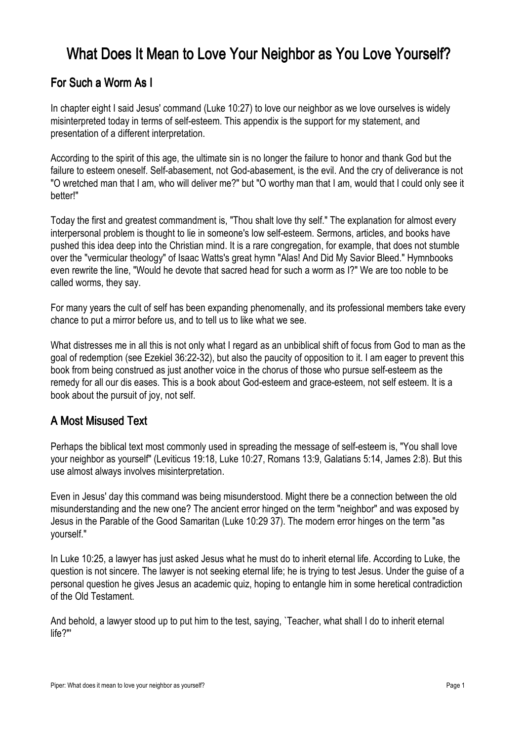# What Does It Mean to Love Your Neighbor as You Love Yourself?

# For Such a Worm As I

In chapter eight I said Jesus' command (Luke 10:27) to love our neighbor as we love ourselves is widely misinterpreted today in terms of self-esteem. This appendix is the support for my statement, and presentation of a different interpretation.

According to the spirit of this age, the ultimate sin is no longer the failure to honor and thank God but the failure to esteem oneself. Self-abasement, not God-abasement, is the evil. And the cry of deliverance is not "O wretched man that I am, who will deliver me?" but "O worthy man that I am, would that I could only see it better!"

Today the first and greatest commandment is, "Thou shalt love thy self." The explanation for almost every interpersonal problem is thought to lie in someone's low self-esteem. Sermons, articles, and books have pushed this idea deep into the Christian mind. It is a rare congregation, for example, that does not stumble over the "vermicular theology" of Isaac Watts's great hymn "Alas! And Did My Savior Bleed." Hymnbooks even rewrite the line, "Would he devote that sacred head for such a worm as I?" We are too noble to be called worms, they say.

For many years the cult of self has been expanding phenomenally, and its professional members take every chance to put a mirror before us, and to tell us to like what we see.

What distresses me in all this is not only what I regard as an unbiblical shift of focus from God to man as the goal of redemption (see Ezekiel 36:22-32), but also the paucity of opposition to it. I am eager to prevent this book from being construed as just another voice in the chorus of those who pursue self-esteem as the remedy for all our dis eases. This is a book about God-esteem and grace-esteem, not self esteem. It is a book about the pursuit of joy, not self.

# A Most Misused Text

Perhaps the biblical text most commonly used in spreading the message of self-esteem is, "You shall love your neighbor as yourself" (Leviticus 19:18, Luke 10:27, Romans 13:9, Galatians 5:14, James 2:8). But this use almost always involves misinterpretation.

Even in Jesus' day this command was being misunderstood. Might there be a connection between the old misunderstanding and the new one? The ancient error hinged on the term "neighbor" and was exposed by Jesus in the Parable of the Good Samaritan (Luke 10:29 37). The modern error hinges on the term "as yourself."

In Luke 10:25, a lawyer has just asked Jesus what he must do to inherit eternal life. According to Luke, the question is not sincere. The lawyer is not seeking eternal life; he is trying to test Jesus. Under the guise of a personal question he gives Jesus an academic quiz, hoping to entangle him in some heretical contradiction of the Old Testament.

And behold, a lawyer stood up to put him to the test, saying, `Teacher, what shall I do to inherit eternal life?"'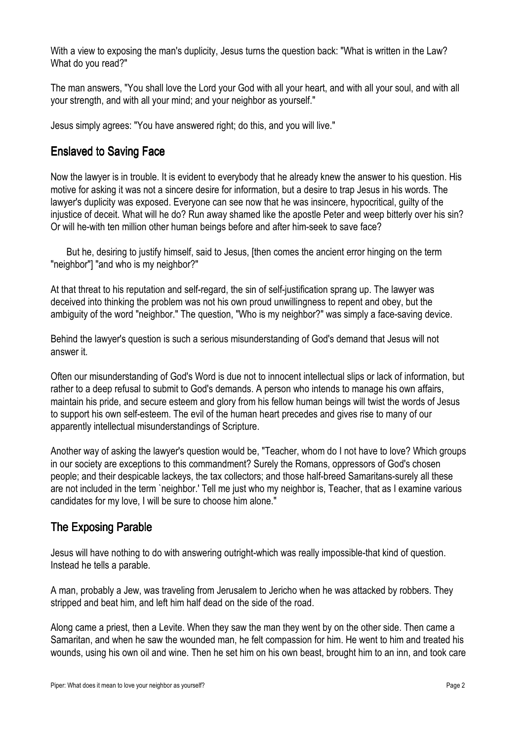With a view to exposing the man's duplicity, Jesus turns the question back: "What is written in the Law? What do you read?"

The man answers, "You shall love the Lord your God with all your heart, and with all your soul, and with all your strength, and with all your mind; and your neighbor as yourself."

Jesus simply agrees: "You have answered right; do this, and you will live."

#### Enslaved to Saving Face

Now the lawyer is in trouble. It is evident to everybody that he already knew the answer to his question. His motive for asking it was not a sincere desire for information, but a desire to trap Jesus in his words. The lawyer's duplicity was exposed. Everyone can see now that he was insincere, hypocritical, guilty of the injustice of deceit. What will he do? Run away shamed like the apostle Peter and weep bitterly over his sin? Or will he-with ten million other human beings before and after him-seek to save face?

But he, desiring to justify himself, said to Jesus, [then comes the ancient error hinging on the term "neighbor"] "and who is my neighbor?"

At that threat to his reputation and self-regard, the sin of self-justification sprang up. The lawyer was deceived into thinking the problem was not his own proud unwillingness to repent and obey, but the ambiguity of the word "neighbor." The question, "Who is my neighbor?" was simply a face-saving device.

Behind the lawyer's question is such a serious misunderstanding of God's demand that Jesus will not answer it.

Often our misunderstanding of God's Word is due not to innocent intellectual slips or lack of information, but rather to a deep refusal to submit to God's demands. A person who intends to manage his own affairs, maintain his pride, and secure esteem and glory from his fellow human beings will twist the words of Jesus to support his own self-esteem. The evil of the human heart precedes and gives rise to many of our apparently intellectual misunderstandings of Scripture.

Another way of asking the lawyer's question would be, "Teacher, whom do I not have to love? Which groups in our society are exceptions to this commandment? Surely the Romans, oppressors of God's chosen people; and their despicable lackeys, the tax collectors; and those half-breed Samaritans-surely all these are not included in the term `neighbor.' Tell me just who my neighbor is, Teacher, that as I examine various candidates for my love, I will be sure to choose him alone."

## The Exposing Parable

Jesus will have nothing to do with answering outright-which was really impossible-that kind of question. Instead he tells a parable.

A man, probably a Jew, was traveling from Jerusalem to Jericho when he was attacked by robbers. They stripped and beat him, and left him half dead on the side of the road.

Along came a priest, then a Levite. When they saw the man they went by on the other side. Then came a Samaritan, and when he saw the wounded man, he felt compassion for him. He went to him and treated his wounds, using his own oil and wine. Then he set him on his own beast, brought him to an inn, and took care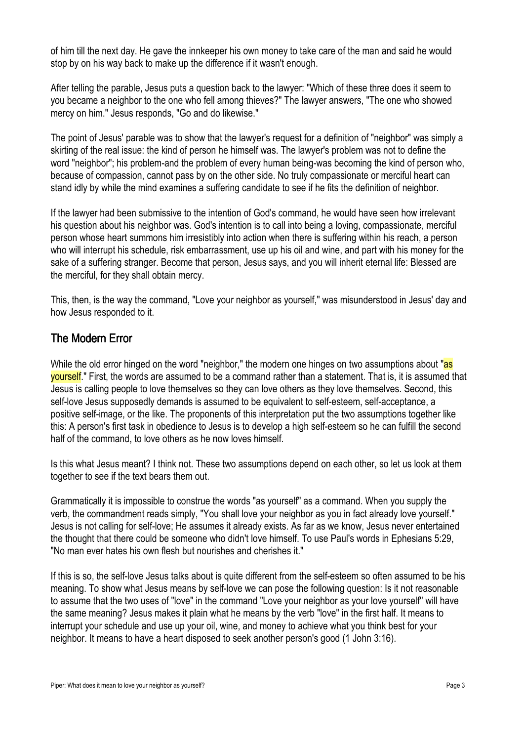of him till the next day. He gave the innkeeper his own money to take care of the man and said he would stop by on his way back to make up the difference if it wasn't enough.

After telling the parable, Jesus puts a question back to the lawyer: "Which of these three does it seem to you became a neighbor to the one who fell among thieves?" The lawyer answers, "The one who showed mercy on him." Jesus responds, "Go and do likewise."

The point of Jesus' parable was to show that the lawyer's request for a definition of "neighbor" was simply a skirting of the real issue: the kind of person he himself was. The lawyer's problem was not to define the word "neighbor"; his problem-and the problem of every human being-was becoming the kind of person who, because of compassion, cannot pass by on the other side. No truly compassionate or merciful heart can stand idly by while the mind examines a suffering candidate to see if he fits the definition of neighbor.

If the lawyer had been submissive to the intention of God's command, he would have seen how irrelevant his question about his neighbor was. God's intention is to call into being a loving, compassionate, merciful person whose heart summons him irresistibly into action when there is suffering within his reach, a person who will interrupt his schedule, risk embarrassment, use up his oil and wine, and part with his money for the sake of a suffering stranger. Become that person, Jesus says, and you will inherit eternal life: Blessed are the merciful, for they shall obtain mercy.

This, then, is the way the command, "Love your neighbor as yourself," was misunderstood in Jesus' day and how Jesus responded to it.

# The Modern Error

While the old error hinged on the word "neighbor," the modern one hinges on two assumptions about "as yourself." First, the words are assumed to be a command rather than a statement. That is, it is assumed that Jesus is calling people to love themselves so they can love others as they love themselves. Second, this self-love Jesus supposedly demands is assumed to be equivalent to self-esteem, self-acceptance, a positive self-image, or the like. The proponents of this interpretation put the two assumptions together like this: A person's first task in obedience to Jesus is to develop a high self-esteem so he can fulfill the second half of the command, to love others as he now loves himself.

Is this what Jesus meant? I think not. These two assumptions depend on each other, so let us look at them together to see if the text bears them out.

Grammatically it is impossible to construe the words "as yourself" as a command. When you supply the verb, the commandment reads simply, "You shall love your neighbor as you in fact already love yourself." Jesus is not calling for self-love; He assumes it already exists. As far as we know, Jesus never entertained the thought that there could be someone who didn't love himself. To use Paul's words in Ephesians 5:29, "No man ever hates his own flesh but nourishes and cherishes it."

If this is so, the self-love Jesus talks about is quite different from the self-esteem so often assumed to be his meaning. To show what Jesus means by self-love we can pose the following question: Is it not reasonable to assume that the two uses of "love" in the command "Love your neighbor as your love yourself'' will have the same meaning? Jesus makes it plain what he means by the verb "love" in the first half. It means to interrupt your schedule and use up your oil, wine, and money to achieve what you think best for your neighbor. It means to have a heart disposed to seek another person's good (1 John 3:16).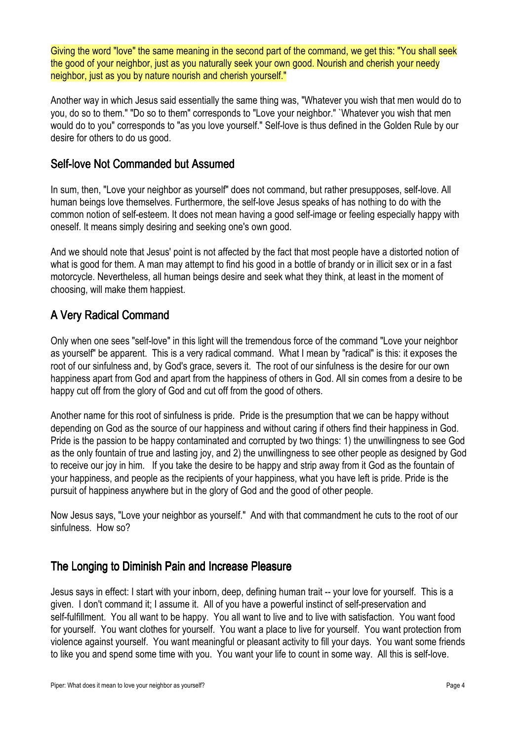Giving the word "love" the same meaning in the second part of the command, we get this: "You shall seek the good of your neighbor, just as you naturally seek your own good. Nourish and cherish your needy neighbor, just as you by nature nourish and cherish yourself."

Another way in which Jesus said essentially the same thing was, "Whatever you wish that men would do to you, do so to them." "Do so to them" corresponds to "Love your neighbor." `Whatever you wish that men would do to you" corresponds to "as you love yourself." Self-love is thus defined in the Golden Rule by our desire for others to do us good.

#### Self-love Not Commanded but Assumed

In sum, then, "Love your neighbor as yourself" does not command, but rather presupposes, self-love. All human beings love themselves. Furthermore, the self-love Jesus speaks of has nothing to do with the common notion of self-esteem. It does not mean having a good self-image or feeling especially happy with oneself. It means simply desiring and seeking one's own good.

And we should note that Jesus' point is not affected by the fact that most people have a distorted notion of what is good for them. A man may attempt to find his good in a bottle of brandy or in illicit sex or in a fast motorcycle. Nevertheless, all human beings desire and seek what they think, at least in the moment of choosing, will make them happiest.

# A Very Radical Command

Only when one sees "self-love" in this light will the tremendous force of the command "Love your neighbor as yourself" be apparent. This is a very radical command. What I mean by "radical" is this: it exposes the root of our sinfulness and, by God's grace, severs it. The root of our sinfulness is the desire for our own happiness apart from God and apart from the happiness of others in God. All sin comes from a desire to be happy cut off from the glory of God and cut off from the good of others.

Another name for this root of sinfulness is pride. Pride is the presumption that we can be happy without depending on God as the source of our happiness and without caring if others find their happiness in God. Pride is the passion to be happy contaminated and corrupted by two things: 1) the unwillingness to see God as the only fountain of true and lasting joy, and 2) the unwillingness to see other people as designed by God to receive our joy in him. If you take the desire to be happy and strip away from it God as the fountain of your happiness, and people as the recipients of your happiness, what you have left is pride. Pride is the pursuit of happiness anywhere but in the glory of God and the good of other people.

Now Jesus says, "Love your neighbor as yourself." And with that commandment he cuts to the root of our sinfulness. How so?

# The Longing to Diminish Pain and Increase Pleasure

Jesus says in effect: I start with your inborn, deep, defining human trait -- your love for yourself. This is a given. I don't command it; I assume it. All of you have a powerful instinct of self-preservation and self-fulfillment. You all want to be happy. You all want to live and to live with satisfaction. You want food for yourself. You want clothes for yourself. You want a place to live for yourself. You want protection from violence against yourself. You want meaningful or pleasant activity to fill your days. You want some friends to like you and spend some time with you. You want your life to count in some way. All this is self-love.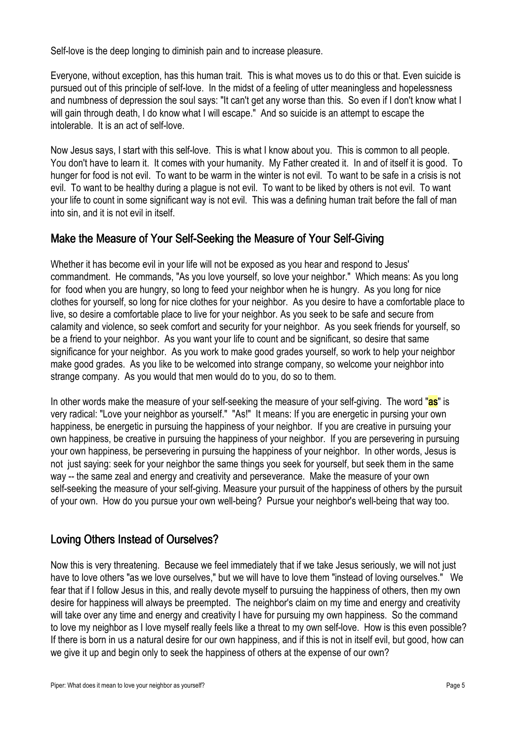Self-love is the deep longing to diminish pain and to increase pleasure.

Everyone, without exception, has this human trait. This is what moves us to do this or that. Even suicide is pursued out of this principle of self-love. In the midst of a feeling of utter meaningless and hopelessness and numbness of depression the soul says: "It can't get any worse than this. So even if I don't know what I will gain through death, I do know what I will escape." And so suicide is an attempt to escape the intolerable. It is an act of self-love.

Now Jesus says, I start with this self-love. This is what I know about you. This is common to all people. You don't have to learn it. It comes with your humanity. My Father created it. In and of itself it is good. To hunger for food is not evil. To want to be warm in the winter is not evil. To want to be safe in a crisis is not evil. To want to be healthy during a plague is not evil. To want to be liked by others is not evil. To want your life to count in some significant way is not evil. This was a defining human trait before the fall of man into sin, and it is not evil in itself.

#### Make the Measure of Your Self-Seeking the Measure of Your Self-Giving

Whether it has become evil in your life will not be exposed as you hear and respond to Jesus' commandment. He commands, "As you love yourself, so love your neighbor." Which means: As you long for food when you are hungry, so long to feed your neighbor when he is hungry. As you long for nice clothes for yourself, so long for nice clothes for your neighbor. As you desire to have a comfortable place to live, so desire a comfortable place to live for your neighbor. As you seek to be safe and secure from calamity and violence, so seek comfort and security for your neighbor. As you seek friends for yourself, so be a friend to your neighbor. As you want your life to count and be significant, so desire that same significance for your neighbor. As you work to make good grades yourself, so work to help your neighbor make good grades. As you like to be welcomed into strange company, so welcome your neighbor into strange company. As you would that men would do to you, do so to them.

In other words make the measure of your self-seeking the measure of your self-giving. The word "as" is very radical: "Love your neighbor as yourself." "As!" It means: If you are energetic in pursing your own happiness, be energetic in pursuing the happiness of your neighbor. If you are creative in pursuing your own happiness, be creative in pursuing the happiness of your neighbor. If you are persevering in pursuing your own happiness, be persevering in pursuing the happiness of your neighbor. In other words, Jesus is not just saying: seek for your neighbor the same things you seek for yourself, but seek them in the same way -- the same zeal and energy and creativity and perseverance. Make the measure of your own self-seeking the measure of your self-giving. Measure your pursuit of the happiness of others by the pursuit of your own. How do you pursue your own well-being? Pursue your neighbor's well-being that way too.

## Loving Others Instead of Ourselves?

Now this is very threatening. Because we feel immediately that if we take Jesus seriously, we will not just have to love others "as we love ourselves," but we will have to love them "instead of loving ourselves." We fear that if I follow Jesus in this, and really devote myself to pursuing the happiness of others, then my own desire for happiness will always be preempted. The neighbor's claim on my time and energy and creativity will take over any time and energy and creativity I have for pursuing my own happiness. So the command to love my neighbor as I love myself really feels like a threat to my own self-love. How is this even possible? If there is born in us a natural desire for our own happiness, and if this is not in itself evil, but good, how can we give it up and begin only to seek the happiness of others at the expense of our own?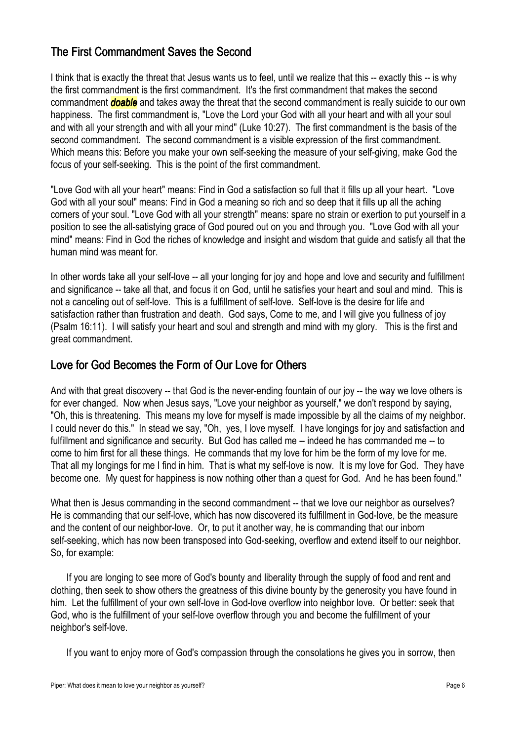# The First Commandment Saves the Second

I think that is exactly the threat that Jesus wants us to feel, until we realize that this -- exactly this -- is why the first commandment is the first commandment. It's the first commandment that makes the second commandment *doable* and takes away the threat that the second commandment is really suicide to our own happiness. The first commandment is, "Love the Lord your God with all your heart and with all your soul and with all your strength and with all your mind" (Luke 10:27). The first commandment is the basis of the second commandment. The second commandment is a visible expression of the first commandment. Which means this: Before you make your own self-seeking the measure of your self-giving, make God the focus of your self-seeking. This is the point of the first commandment.

"Love God with all your heart" means: Find in God a satisfaction so full that it fills up all your heart. "Love God with all your soul" means: Find in God a meaning so rich and so deep that it fills up all the aching corners of your soul. "Love God with all your strength" means: spare no strain or exertion to put yourself in a position to see the all-satistying grace of God poured out on you and through you. "Love God with all your mind" means: Find in God the riches of knowledge and insight and wisdom that guide and satisfy all that the human mind was meant for.

In other words take all your self-love -- all your longing for joy and hope and love and security and fulfillment and significance -- take all that, and focus it on God, until he satisfies your heart and soul and mind. This is not a canceling out of self-love. This is a fulfillment of self-love. Self-love is the desire for life and satisfaction rather than frustration and death. God says, Come to me, and I will give you fullness of joy (Psalm 16:11). I will satisfy your heart and soul and strength and mind with my glory. This is the first and great commandment.

## Love for God Becomes the Form of Our Love for Others

And with that great discovery -- that God is the never-ending fountain of our joy -- the way we love others is for ever changed. Now when Jesus says, "Love your neighbor as yourself," we don't respond by saying, "Oh, this is threatening. This means my love for myself is made impossible by all the claims of my neighbor. I could never do this." In stead we say, "Oh, yes, I love myself. I have longings for joy and satisfaction and fulfillment and significance and security. But God has called me -- indeed he has commanded me -- to come to him first for all these things. He commands that my love for him be the form of my love for me. That all my longings for me I find in him. That is what my self-love is now. It is my love for God. They have become one. My quest for happiness is now nothing other than a quest for God. And he has been found."

What then is Jesus commanding in the second commandment -- that we love our neighbor as ourselves? He is commanding that our self-love, which has now discovered its fulfillment in God-love, be the measure and the content of our neighbor-love. Or, to put it another way, he is commanding that our inborn self-seeking, which has now been transposed into God-seeking, overflow and extend itself to our neighbor. So, for example:

If you are longing to see more of God's bounty and liberality through the supply of food and rent and clothing, then seek to show others the greatness of this divine bounty by the generosity you have found in him. Let the fulfillment of your own self-love in God-love overflow into neighbor love. Or better: seek that God, who is the fulfillment of your self-love overflow through you and become the fulfillment of your neighbor's self-love.

If you want to enjoy more of God's compassion through the consolations he gives you in sorrow, then